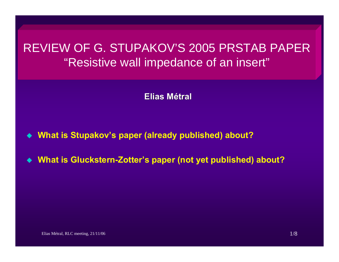# REVIEW OF G. STUPAKOV'S 2005 PRSTAB PAPER "Resistive wall impedance of an insert"

**Elias Métral**

- $\bullet$ **What is Stupakov's paper (already published) about?**
- $\bullet$ **What is Gluckstern-Zotter's paper (not yet published) about?**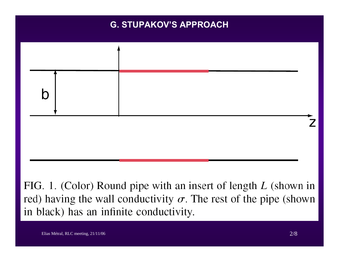## **G. STUPAKOV'S APPROACH**



FIG. 1. (Color) Round pipe with an insert of length  $L$  (shown in red) having the wall conductivity  $\sigma$ . The rest of the pipe (shown in black) has an infinite conductivity.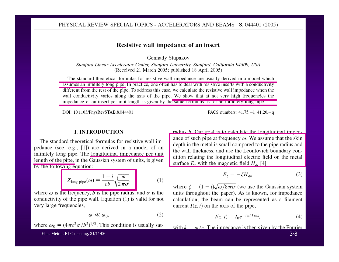#### Resistive wall impedance of an insert

Gennady Stupakov

Stanford Linear Accelerator Center, Stanford University, Stanford, California 94309, USA (Received 21 March 2005; published 18 April 2005)

The standard theoretical formulas for resistive wall impedance are usually derived in a model which assumes an infinitely long pipe. In practice, one often has to deal with resistive inserts with a conductivity different from the rest of the pipe. To address this case, we calculate the resistive wall impedance when the wall conductivity varies along the axis of the pipe. We show that at not very high frequencies the impedance of an insert per unit length is given by the same formulas as for an infinitely long pipe.

DOI: 10.1103/PhysRevSTAB.8.044401

#### **I. INTRODUCTION**

The standard theoretical formulas for resistive wall impedance (see, e.g., [1]) are derived in a model of an infinitely long pipe. The longitudinal impedance per unit length of the pipe, in the Gaussian system of units, is given by the following equation:

$$
Z_{\text{long pipe}}(\omega) = \frac{1 - i}{cb} \sqrt{\frac{\omega}{2\pi\sigma'}} \tag{1}
$$

where  $\omega$  is the frequency, b is the pipe radius, and  $\sigma$  is the conductivity of the pipe wall. Equation  $(1)$  is valid for not very large frequencies,

$$
\omega \ll \omega_0,\tag{2}
$$

where  $\omega_0 = (4\pi c^2 \sigma/b^2)^{1/3}$ . This condition is usually sat-

radius *b*. Our goal is to calculate the longitudinal imped-

PACS numbers:  $41.75 - i$ ,  $41.20 - q$ 

ance of such pipe at frequency  $\omega$ . We assume that the skin depth in the metal is small compared to the pipe radius and the wall thickness, and use the Leontovich boundary condition relating the longitudinal electric field on the metal surface  $E_z$ , with the magnetic field  $H_A$  [4]

$$
E_z = -\zeta H_{\phi},\tag{3}
$$

where  $\zeta = (1 - i)\sqrt{\omega/8\pi\sigma}$  (we use the Gaussian system units throughout the paper). As is known, for impedance calculation, the beam can be represented as a filament current  $I(z, t)$  on the axis of the pipe,

$$
I(z, t) = I_0 e^{-i\omega t + ikz},\tag{4}
$$

with  $k = \omega/c$ . The impedance is then given by the Fourier

Elias Métral, RLC meeting, 21/11/06

 $3/8$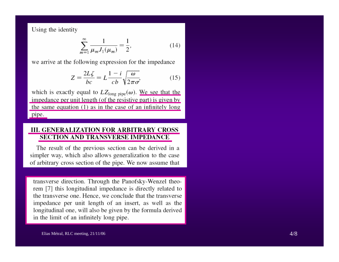Using the identity

$$
\sum_{m=1}^{\infty} \frac{1}{\mu_m J_1(\mu_m)} = \frac{1}{2},\tag{14}
$$

we arrive at the following expression for the impedance

$$
Z = \frac{2L\zeta}{bc} = L\frac{1-i}{cb}\sqrt{\frac{\omega}{2\pi\sigma'}}
$$
(15)

which is exactly equal to  $LZ_{long\,pipe}(\omega)$ . We see that the impedance per unit length (of the resistive part) is given by the same equation  $(1)$  as in the case of an infinitely long pipe.

#### **III. GENERALIZATION FOR ARBITRARY CROSS SECTION AND TRANSVERSE IMPEDANCE**

The result of the previous section can be derived in a simpler way, which also allows generalization to the case of arbitrary cross section of the pipe. We now assume that

transverse direction. Through the Panofsky-Wenzel theorem [7] this longitudinal impedance is directly related to the transverse one. Hence, we conclude that the transverse impedance per unit length of an insert, as well as the longitudinal one, will also be given by the formula derived in the limit of an infinitely long pipe.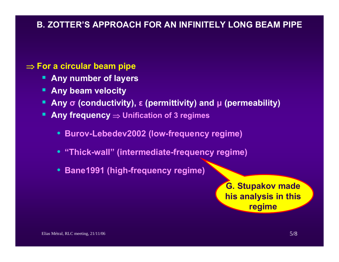## **B. ZOTTER'S APPROACH FOR AN INFINITELY LONG BEAM PIPE**

### ⇒ **For a circular beam pipe**

- **Any number of layers**
- **Any beam velocity**
- **Any <sup>σ</sup> (conductivity), <sup>ε</sup> (permittivity) and μ (permeability)**
- **Any frequency** <sup>⇒</sup> **Unification of 3 regimes** 
	- **Burov-Lebedev2002 (low-frequency regime)**
	- **"Thick-wall" (intermediate-frequency regime)**
	- **Bane1991 (high-frequency regime)**

**G. Stupakov made his analysis in this regime**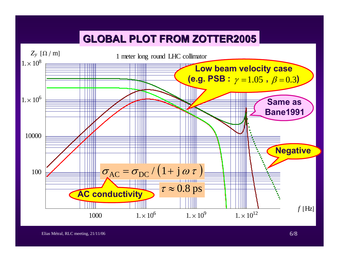# **GLOBAL PLOT FROM ZOTTER2005 GLOBAL PLOT FROM ZOTTER2005**

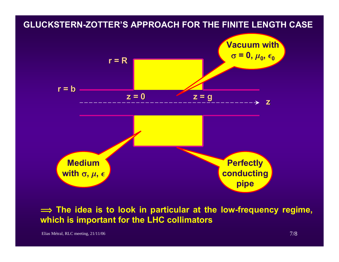## **GLUCKSTERN-ZOTTER'S APPROACH FOR THE FINITE LENGTH CASE**



 $\implies$  The idea is to look in particular at the low-frequency regime, **which is important for the LHC collimators**

Elias Métral, RLC meeting,  $21/11/06$  7/8